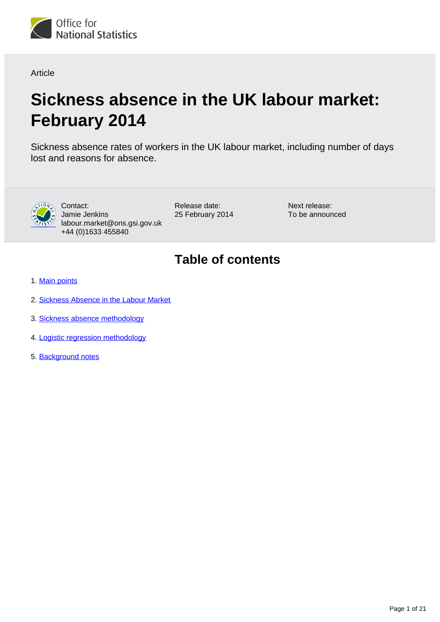

Article

# **Sickness absence in the UK labour market: February 2014**

Sickness absence rates of workers in the UK labour market, including number of days lost and reasons for absence.



Contact: Jamie Jenkins labour.market@ons.gsi.gov.uk +44 (0)1633 455840

Release date: 25 February 2014 Next release: To be announced

## **Table of contents**

- 1. [Main points](#page-1-0)
- 2. [Sickness Absence in the Labour Market](#page-1-1)
- 3. Sickness absence methodology
- 4. Logistic regression methodology
- 5. Background notes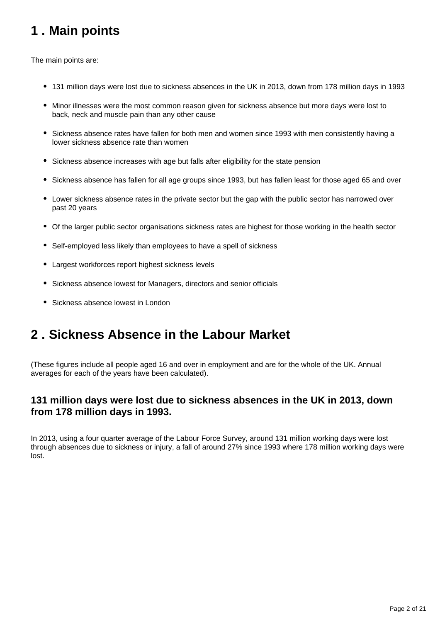## <span id="page-1-0"></span>**1 . Main points**

The main points are:

- 131 million days were lost due to sickness absences in the UK in 2013, down from 178 million days in 1993
- Minor illnesses were the most common reason given for sickness absence but more days were lost to back, neck and muscle pain than any other cause
- Sickness absence rates have fallen for both men and women since 1993 with men consistently having a lower sickness absence rate than women
- Sickness absence increases with age but falls after eligibility for the state pension
- Sickness absence has fallen for all age groups since 1993, but has fallen least for those aged 65 and over
- Lower sickness absence rates in the private sector but the gap with the public sector has narrowed over past 20 years
- Of the larger public sector organisations sickness rates are highest for those working in the health sector
- Self-employed less likely than employees to have a spell of sickness
- Largest workforces report highest sickness levels
- Sickness absence lowest for Managers, directors and senior officials
- Sickness absence lowest in London

## <span id="page-1-1"></span>**2 . Sickness Absence in the Labour Market**

(These figures include all people aged 16 and over in employment and are for the whole of the UK. Annual averages for each of the years have been calculated).

### **131 million days were lost due to sickness absences in the UK in 2013, down from 178 million days in 1993.**

In 2013, using a four quarter average of the Labour Force Survey, around 131 million working days were lost through absences due to sickness or injury, a fall of around 27% since 1993 where 178 million working days were lost.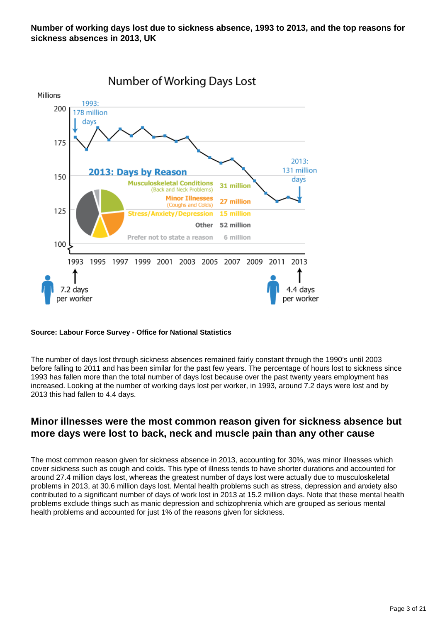

#### **Source: Labour Force Survey - Office for National Statistics**

The number of days lost through sickness absences remained fairly constant through the 1990's until 2003 before falling to 2011 and has been similar for the past few years. The percentage of hours lost to sickness since 1993 has fallen more than the total number of days lost because over the past twenty years employment has increased. Looking at the number of working days lost per worker, in 1993, around 7.2 days were lost and by 2013 this had fallen to 4.4 days.

#### **Minor illnesses were the most common reason given for sickness absence but more days were lost to back, neck and muscle pain than any other cause**

The most common reason given for sickness absence in 2013, accounting for 30%, was minor illnesses which cover sickness such as cough and colds. This type of illness tends to have shorter durations and accounted for around 27.4 million days lost, whereas the greatest number of days lost were actually due to musculoskeletal problems in 2013, at 30.6 million days lost. Mental health problems such as stress, depression and anxiety also contributed to a significant number of days of work lost in 2013 at 15.2 million days. Note that these mental health problems exclude things such as manic depression and schizophrenia which are grouped as serious mental health problems and accounted for just 1% of the reasons given for sickness.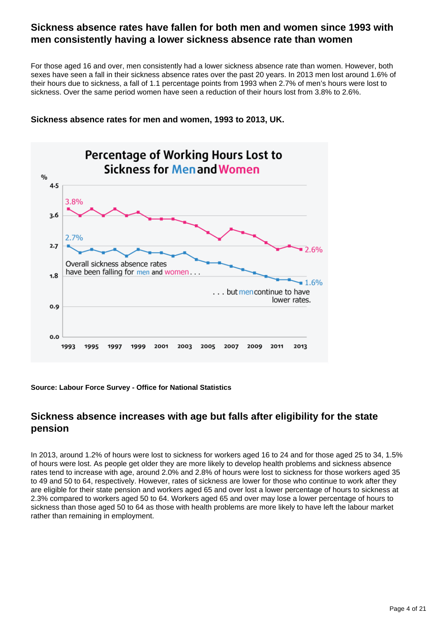#### **Sickness absence rates have fallen for both men and women since 1993 with men consistently having a lower sickness absence rate than women**

For those aged 16 and over, men consistently had a lower sickness absence rate than women. However, both sexes have seen a fall in their sickness absence rates over the past 20 years. In 2013 men lost around 1.6% of their hours due to sickness, a fall of 1.1 percentage points from 1993 when 2.7% of men's hours were lost to sickness. Over the same period women have seen a reduction of their hours lost from 3.8% to 2.6%.

#### **Sickness absence rates for men and women, 1993 to 2013, UK.**



#### **Source: Labour Force Survey - Office for National Statistics**

#### **Sickness absence increases with age but falls after eligibility for the state pension**

In 2013, around 1.2% of hours were lost to sickness for workers aged 16 to 24 and for those aged 25 to 34, 1.5% of hours were lost. As people get older they are more likely to develop health problems and sickness absence rates tend to increase with age, around 2.0% and 2.8% of hours were lost to sickness for those workers aged 35 to 49 and 50 to 64, respectively. However, rates of sickness are lower for those who continue to work after they are eligible for their state pension and workers aged 65 and over lost a lower percentage of hours to sickness at 2.3% compared to workers aged 50 to 64. Workers aged 65 and over may lose a lower percentage of hours to sickness than those aged 50 to 64 as those with health problems are more likely to have left the labour market rather than remaining in employment.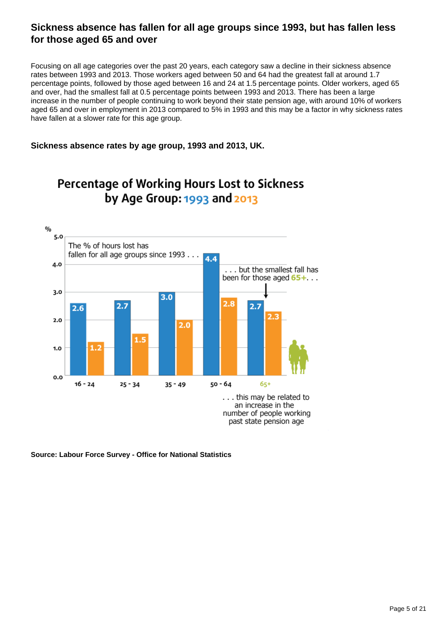### **Sickness absence has fallen for all age groups since 1993, but has fallen less for those aged 65 and over**

Focusing on all age categories over the past 20 years, each category saw a decline in their sickness absence rates between 1993 and 2013. Those workers aged between 50 and 64 had the greatest fall at around 1.7 percentage points, followed by those aged between 16 and 24 at 1.5 percentage points. Older workers, aged 65 and over, had the smallest fall at 0.5 percentage points between 1993 and 2013. There has been a large increase in the number of people continuing to work beyond their state pension age, with around 10% of workers aged 65 and over in employment in 2013 compared to 5% in 1993 and this may be a factor in why sickness rates have fallen at a slower rate for this age group.

#### **Sickness absence rates by age group, 1993 and 2013, UK.**



## **Percentage of Working Hours Lost to Sickness** by Age Group: 1993 and 2013

**Source: Labour Force Survey - Office for National Statistics**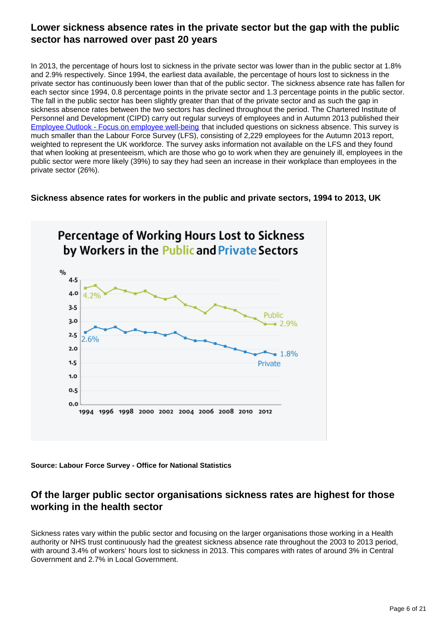### **Lower sickness absence rates in the private sector but the gap with the public sector has narrowed over past 20 years**

In 2013, the percentage of hours lost to sickness in the private sector was lower than in the public sector at 1.8% and 2.9% respectively. Since 1994, the earliest data available, the percentage of hours lost to sickness in the private sector has continuously been lower than that of the public sector. The sickness absence rate has fallen for each sector since 1994, 0.8 percentage points in the private sector and 1.3 percentage points in the public sector. The fall in the public sector has been slightly greater than that of the private sector and as such the gap in sickness absence rates between the two sectors has declined throughout the period. The Chartered Institute of Personnel and Development (CIPD) carry out regular surveys of employees and in Autumn 2013 published their [Employee Outlook - Focus on employee well-being](http://www.cipd.co.uk/binaries/6381%20EO%20Focus%20on%20well-being%20%28WEB%29.pdf) that included questions on sickness absence. This survey is much smaller than the Labour Force Survey (LFS), consisting of 2,229 employees for the Autumn 2013 report, weighted to represent the UK workforce. The survey asks information not available on the LFS and they found that when looking at presenteeism, which are those who go to work when they are genuinely ill, employees in the public sector were more likely (39%) to say they had seen an increase in their workplace than employees in the private sector (26%).

#### **Sickness absence rates for workers in the public and private sectors, 1994 to 2013, UK**



**Source: Labour Force Survey - Office for National Statistics**

### **Of the larger public sector organisations sickness rates are highest for those working in the health sector**

Sickness rates vary within the public sector and focusing on the larger organisations those working in a Health authority or NHS trust continuously had the greatest sickness absence rate throughout the 2003 to 2013 period, with around 3.4% of workers' hours lost to sickness in 2013. This compares with rates of around 3% in Central Government and 2.7% in Local Government.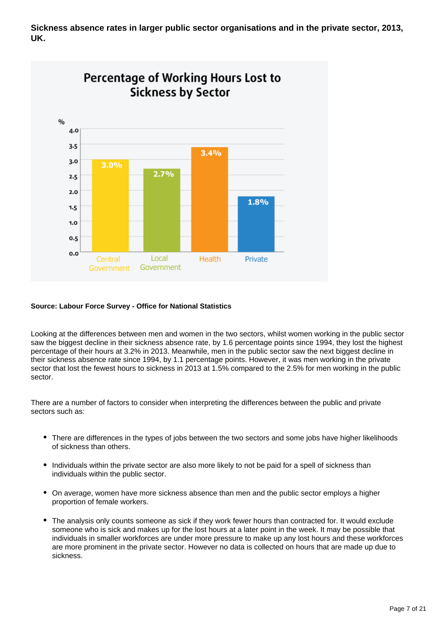**Sickness absence rates in larger public sector organisations and in the private sector, 2013, UK.**



#### **Source: Labour Force Survey - Office for National Statistics**

Looking at the differences between men and women in the two sectors, whilst women working in the public sector saw the biggest decline in their sickness absence rate, by 1.6 percentage points since 1994, they lost the highest percentage of their hours at 3.2% in 2013. Meanwhile, men in the public sector saw the next biggest decline in their sickness absence rate since 1994, by 1.1 percentage points. However, it was men working in the private sector that lost the fewest hours to sickness in 2013 at 1.5% compared to the 2.5% for men working in the public sector.

There are a number of factors to consider when interpreting the differences between the public and private sectors such as:

- There are differences in the types of jobs between the two sectors and some jobs have higher likelihoods of sickness than others.
- Individuals within the private sector are also more likely to not be paid for a spell of sickness than individuals within the public sector.
- On average, women have more sickness absence than men and the public sector employs a higher proportion of female workers.
- The analysis only counts someone as sick if they work fewer hours than contracted for. It would exclude someone who is sick and makes up for the lost hours at a later point in the week. It may be possible that individuals in smaller workforces are under more pressure to make up any lost hours and these workforces are more prominent in the private sector. However no data is collected on hours that are made up due to sickness.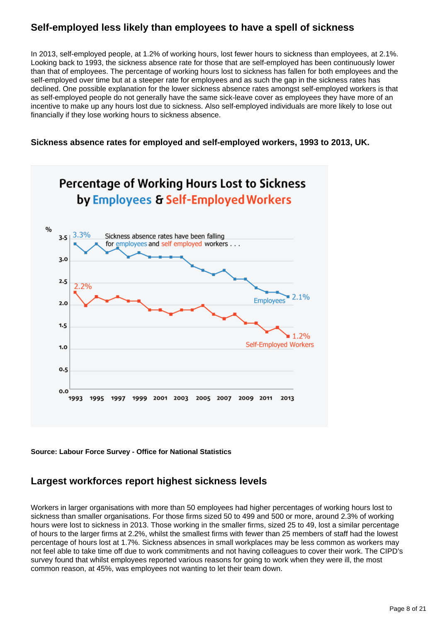### **Self-employed less likely than employees to have a spell of sickness**

In 2013, self-employed people, at 1.2% of working hours, lost fewer hours to sickness than employees, at 2.1%. Looking back to 1993, the sickness absence rate for those that are self-employed has been continuously lower than that of employees. The percentage of working hours lost to sickness has fallen for both employees and the self-employed over time but at a steeper rate for employees and as such the gap in the sickness rates has declined. One possible explanation for the lower sickness absence rates amongst self-employed workers is that as self-employed people do not generally have the same sick-leave cover as employees they have more of an incentive to make up any hours lost due to sickness. Also self-employed individuals are more likely to lose out financially if they lose working hours to sickness absence.

#### **Sickness absence rates for employed and self-employed workers, 1993 to 2013, UK.**



**Source: Labour Force Survey - Office for National Statistics**

### **Largest workforces report highest sickness levels**

Workers in larger organisations with more than 50 employees had higher percentages of working hours lost to sickness than smaller organisations. For those firms sized 50 to 499 and 500 or more, around 2.3% of working hours were lost to sickness in 2013. Those working in the smaller firms, sized 25 to 49, lost a similar percentage of hours to the larger firms at 2.2%, whilst the smallest firms with fewer than 25 members of staff had the lowest percentage of hours lost at 1.7%. Sickness absences in small workplaces may be less common as workers may not feel able to take time off due to work commitments and not having colleagues to cover their work. The CIPD's survey found that whilst employees reported various reasons for going to work when they were ill, the most common reason, at 45%, was employees not wanting to let their team down.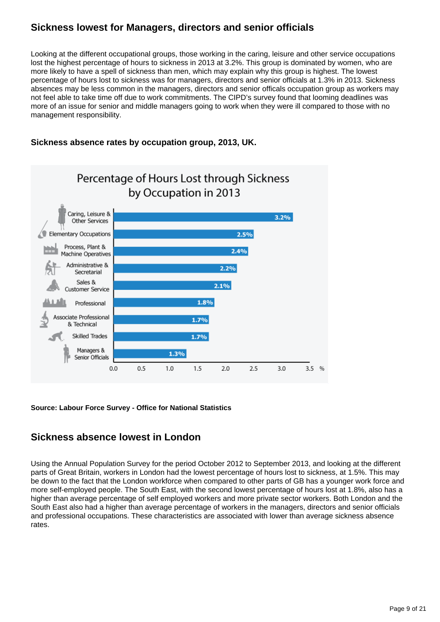### **Sickness lowest for Managers, directors and senior officials**

Looking at the different occupational groups, those working in the caring, leisure and other service occupations lost the highest percentage of hours to sickness in 2013 at 3.2%. This group is dominated by women, who are more likely to have a spell of sickness than men, which may explain why this group is highest. The lowest percentage of hours lost to sickness was for managers, directors and senior officials at 1.3% in 2013. Sickness absences may be less common in the managers, directors and senior officals occupation group as workers may not feel able to take time off due to work commitments. The CIPD's survey found that looming deadlines was more of an issue for senior and middle managers going to work when they were ill compared to those with no management responsibility.

#### **Sickness absence rates by occupation group, 2013, UK.**



**Source: Labour Force Survey - Office for National Statistics**

### **Sickness absence lowest in London**

Using the Annual Population Survey for the period October 2012 to September 2013, and looking at the different parts of Great Britain, workers in London had the lowest percentage of hours lost to sickness, at 1.5%. This may be down to the fact that the London workforce when compared to other parts of GB has a younger work force and more self-employed people. The South East, with the second lowest percentage of hours lost at 1.8%, also has a higher than average percentage of self employed workers and more private sector workers. Both London and the South East also had a higher than average percentage of workers in the managers, directors and senior officials and professional occupations. These characteristics are associated with lower than average sickness absence rates.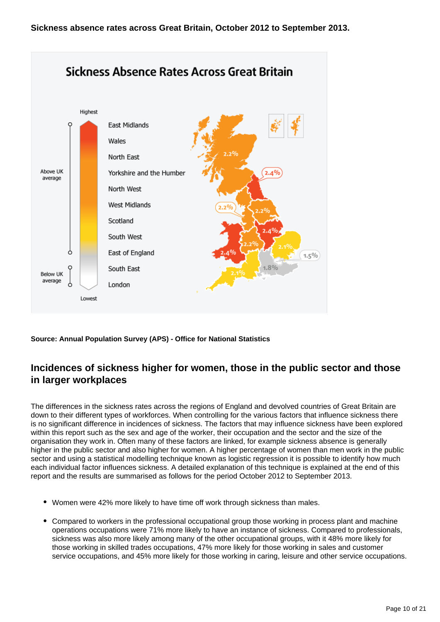

### **Incidences of sickness higher for women, those in the public sector and those in larger workplaces**

The differences in the sickness rates across the regions of England and devolved countries of Great Britain are down to their different types of workforces. When controlling for the various factors that influence sickness there is no significant difference in incidences of sickness. The factors that may influence sickness have been explored within this report such as the sex and age of the worker, their occupation and the sector and the size of the organisation they work in. Often many of these factors are linked, for example sickness absence is generally higher in the public sector and also higher for women. A higher percentage of women than men work in the public sector and using a statistical modelling technique known as logistic regression it is possible to identify how much each individual factor influences sickness. A detailed explanation of this technique is explained at the end of this report and the results are summarised as follows for the period October 2012 to September 2013.

- Women were 42% more likely to have time off work through sickness than males.
- Compared to workers in the professional occupational group those working in process plant and machine operations occupations were 71% more likely to have an instance of sickness. Compared to professionals, sickness was also more likely among many of the other occupational groups, with it 48% more likely for those working in skilled trades occupations, 47% more likely for those working in sales and customer service occupations, and 45% more likely for those working in caring, leisure and other service occupations.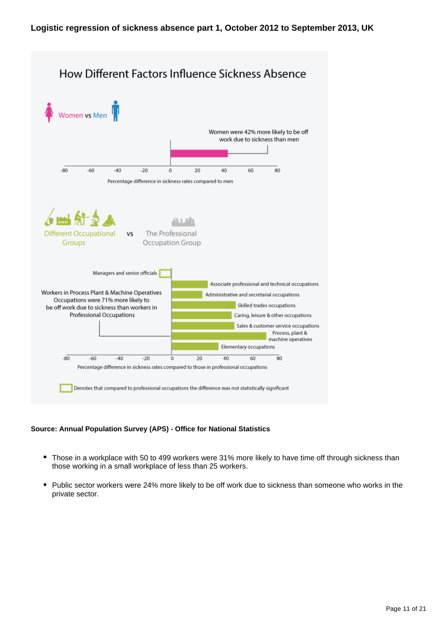

- Those in a workplace with 50 to 499 workers were 31% more likely to have time off through sickness than those working in a small workplace of less than 25 workers.
- Public sector workers were 24% more likely to be off work due to sickness than someone who works in the private sector.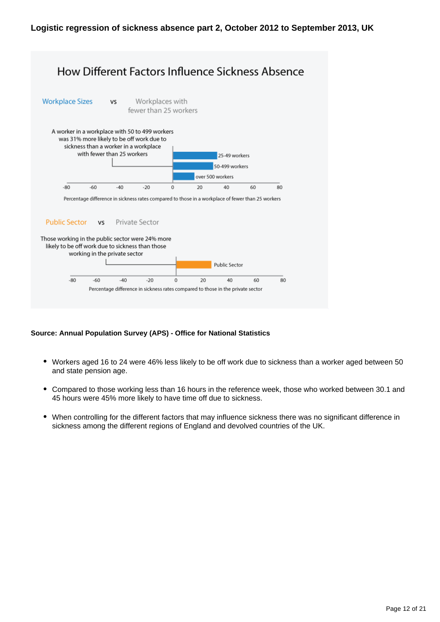

- Workers aged 16 to 24 were 46% less likely to be off work due to sickness than a worker aged between 50 and state pension age.
- Compared to those working less than 16 hours in the reference week, those who worked between 30.1 and 45 hours were 45% more likely to have time off due to sickness.
- When controlling for the different factors that may influence sickness there was no significant difference in sickness among the different regions of England and devolved countries of the UK.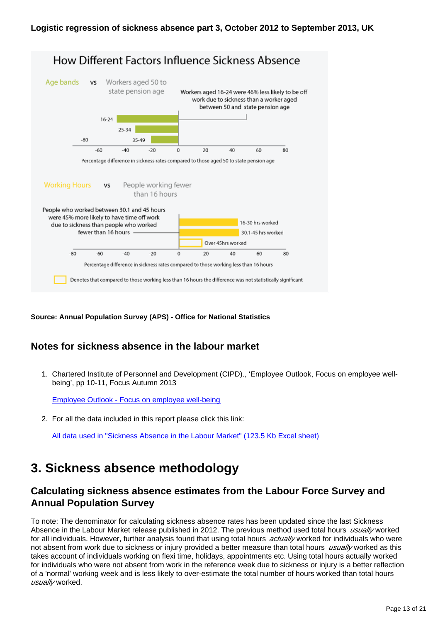

### **Notes for sickness absence in the labour market**

1. Chartered Institute of Personnel and Development (CIPD)., 'Employee Outlook, Focus on employee wellbeing', pp 10-11, Focus Autumn 2013

[Employee Outlook - Focus on employee well-being](http://www.cipd.co.uk/binaries/6381%20EO%20Focus%20on%20well-being%20%28WEB%29.pdf)

2. For all the data included in this report please click this link:

[All data used in "Sickness Absence in the Labour Market" \(123.5 Kb Excel sheet\)](http://www.ons.gov.uk/ons/rel/lmac/sickness-absence-in-the-labour-market/2014/all-data-used-in--sickness-absence-in-the-labour-market-.xls)

## **3. Sickness absence methodology**

#### **Calculating sickness absence estimates from the Labour Force Survey and Annual Population Survey**

To note: The denominator for calculating sickness absence rates has been updated since the last Sickness Absence in the Labour Market release published in 2012. The previous method used total hours usually worked for all individuals. However, further analysis found that using total hours *actually* worked for individuals who were not absent from work due to sickness or injury provided a better measure than total hours usually worked as this takes account of individuals working on flexi time, holidays, appointments etc. Using total hours actually worked for individuals who were not absent from work in the reference week due to sickness or injury is a better reflection of a 'normal' working week and is less likely to over-estimate the total number of hours worked than total hours usually worked.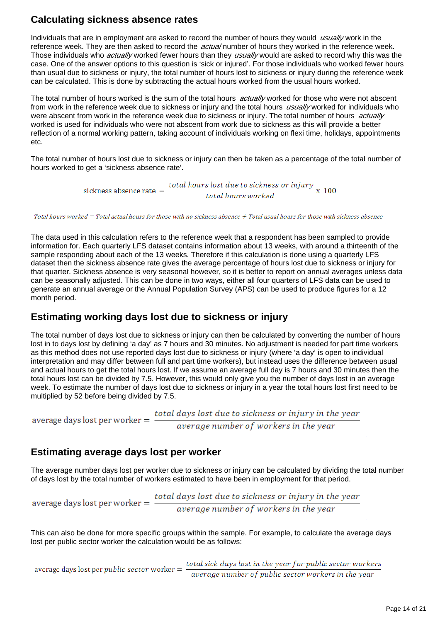### **Calculating sickness absence rates**

Individuals that are in employment are asked to record the number of hours they would usually work in the reference week. They are then asked to record the *actual* number of hours they worked in the reference week. Those individuals who *actually* worked fewer hours than they usually would are asked to record why this was the case. One of the answer options to this question is 'sick or injured'. For those individuals who worked fewer hours than usual due to sickness or injury, the total number of hours lost to sickness or injury during the reference week can be calculated. This is done by subtracting the actual hours worked from the usual hours worked.

The total number of hours worked is the sum of the total hours *actually* worked for those who were not abscent from work in the reference week due to sickness or injury and the total hours usually worked for individuals who were abscent from work in the reference week due to sickness or injury. The total number of hours *actually* worked is used for individuals who were not abscent from work due to sickness as this will provide a better reflection of a normal working pattern, taking account of individuals working on flexi time, holidays, appointments etc.

The total number of hours lost due to sickness or injury can then be taken as a percentage of the total number of hours worked to get a 'sickness absence rate'.

> sickness absence rate  $=$   $\frac{total \, hours \, lost \, due \, to \, sickness \, or \, injury}{x \, 100} \, x$ total hours worked

Total hours worked = Total actual hours for those with no sickness absence + Total usual hours for those with sickness absence

The data used in this calculation refers to the reference week that a respondent has been sampled to provide information for. Each quarterly LFS dataset contains information about 13 weeks, with around a thirteenth of the sample responding about each of the 13 weeks. Therefore if this calculation is done using a quarterly LFS dataset then the sickness absence rate gives the average percentage of hours lost due to sickness or injury for that quarter. Sickness absence is very seasonal however, so it is better to report on annual averages unless data can be seasonally adjusted. This can be done in two ways, either all four quarters of LFS data can be used to generate an annual average or the Annual Population Survey (APS) can be used to produce figures for a 12 month period.

#### **Estimating working days lost due to sickness or injury**

The total number of days lost due to sickness or injury can then be calculated by converting the number of hours lost in to days lost by defining 'a day' as 7 hours and 30 minutes. No adjustment is needed for part time workers as this method does not use reported days lost due to sickness or injury (where 'a day' is open to individual interpretation and may differ between full and part time workers), but instead uses the difference between usual and actual hours to get the total hours lost. If we assume an average full day is 7 hours and 30 minutes then the total hours lost can be divided by 7.5. However, this would only give you the number of days lost in an average week. To estimate the number of days lost due to sickness or injury in a year the total hours lost first need to be multiplied by 52 before being divided by 7.5.

average days lost per worker  $=$   $\frac{total \, days \, lost \, due \, to \, sickness \, or \, injury \, in \, the \, year}{average \, number \, of \, workers \, in \, the \, year}$ 

#### **Estimating average days lost per worker**

The average number days lost per worker due to sickness or injury can be calculated by dividing the total number of days lost by the total number of workers estimated to have been in employment for that period.

average days lost per worker  $=$   $\frac{total \; days \; lost \; due \; to \; sickness \; or \; injury \; in \; the \; year} {average \; number \; of \; workers \; in \; the \; year}$ 

This can also be done for more specific groups within the sample. For example, to calculate the average days lost per public sector worker the calculation would be as follows:

average days lost per public sector worker  $=$   $\frac{total \, sick \; days \, lost \,in \, the \, year \, for \, public \, sector \, workers \, in \, the \, year} {average \, number \, of \, public \, sector \, workers \, in \, the \, year}$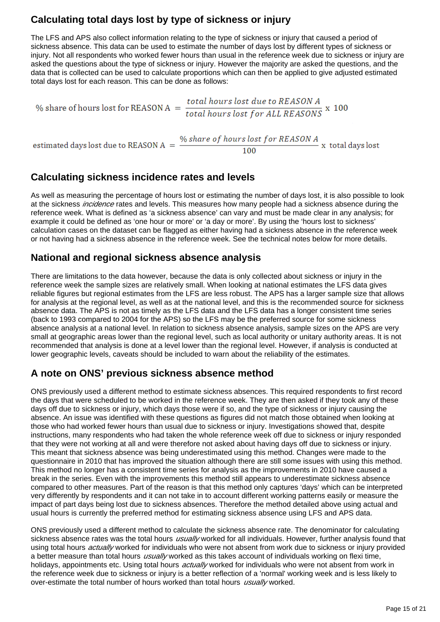## **Calculating total days lost by type of sickness or injury**

The LFS and APS also collect information relating to the type of sickness or injury that caused a period of sickness absence. This data can be used to estimate the number of days lost by different types of sickness or injury. Not all respondents who worked fewer hours than usual in the reference week due to sickness or injury are asked the questions about the type of sickness or injury. However the majority are asked the questions, and the data that is collected can be used to calculate proportions which can then be applied to give adjusted estimated total days lost for each reason. This can be done as follows:

% share of hours lost for REASON A  $=$  total hours lost due to REASON A  $\times$  100 estimated days lost due to REASON A =  $\frac{\% \text{ share of hours lost for REASON A}}{100}$  x total days lost

#### **Calculating sickness incidence rates and levels**

As well as measuring the percentage of hours lost or estimating the number of days lost, it is also possible to look at the sickness *incidence* rates and levels. This measures how many people had a sickness absence during the reference week. What is defined as 'a sickness absence' can vary and must be made clear in any analysis; for example it could be defined as 'one hour or more' or 'a day or more'. By using the 'hours lost to sickness' calculation cases on the dataset can be flagged as either having had a sickness absence in the reference week or not having had a sickness absence in the reference week. See the technical notes below for more details.

 $100$ 

#### **National and regional sickness absence analysis**

There are limitations to the data however, because the data is only collected about sickness or injury in the reference week the sample sizes are relatively small. When looking at national estimates the LFS data gives reliable figures but regional estimates from the LFS are less robust. The APS has a larger sample size that allows for analysis at the regional level, as well as at the national level, and this is the recommended source for sickness absence data. The APS is not as timely as the LFS data and the LFS data has a longer consistent time series (back to 1993 compared to 2004 for the APS) so the LFS may be the preferred source for some sickness absence analysis at a national level. In relation to sickness absence analysis, sample sizes on the APS are very small at geographic areas lower than the regional level, such as local authority or unitary authority areas. It is not recommended that analysis is done at a level lower than the regional level. However, if analysis is conducted at lower geographic levels, caveats should be included to warn about the reliability of the estimates.

### **A note on ONS' previous sickness absence method**

ONS previously used a different method to estimate sickness absences. This required respondents to first record the days that were scheduled to be worked in the reference week. They are then asked if they took any of these days off due to sickness or injury, which days those were if so, and the type of sickness or injury causing the absence. An issue was identified with these questions as figures did not match those obtained when looking at those who had worked fewer hours than usual due to sickness or injury. Investigations showed that, despite instructions, many respondents who had taken the whole reference week off due to sickness or injury responded that they were not working at all and were therefore not asked about having days off due to sickness or injury. This meant that sickness absence was being underestimated using this method. Changes were made to the questionnaire in 2010 that has improved the situation although there are still some issues with using this method. This method no longer has a consistent time series for analysis as the improvements in 2010 have caused a break in the series. Even with the improvements this method still appears to underestimate sickness absence compared to other measures. Part of the reason is that this method only captures 'days' which can be interpreted very differently by respondents and it can not take in to account different working patterns easily or measure the impact of part days being lost due to sickness absences. Therefore the method detailed above using actual and usual hours is currently the preferred method for estimating sickness absence using LFS and APS data.

ONS previously used a different method to calculate the sickness absence rate. The denominator for calculating sickness absence rates was the total hours *usually* worked for all individuals. However, further analysis found that using total hours *actually* worked for individuals who were not absent from work due to sickness or injury provided a better measure than total hours *usually* worked as this takes account of individuals working on flexi time, holidays, appointments etc. Using total hours *actually* worked for individuals who were not absent from work in the reference week due to sickness or injury is a better reflection of a 'normal' working week and is less likely to over-estimate the total number of hours worked than total hours usually worked.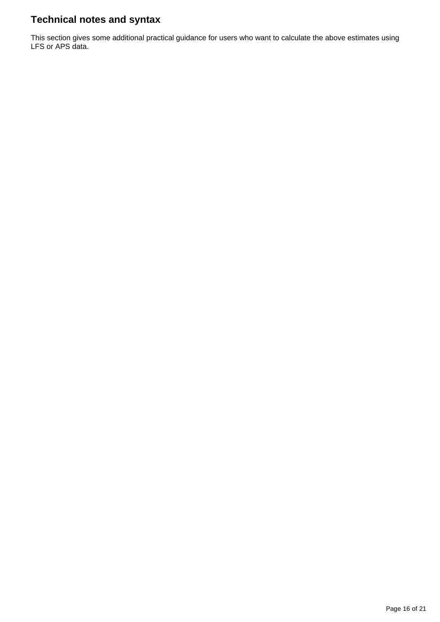## **Technical notes and syntax**

This section gives some additional practical guidance for users who want to calculate the above estimates using LFS or APS data.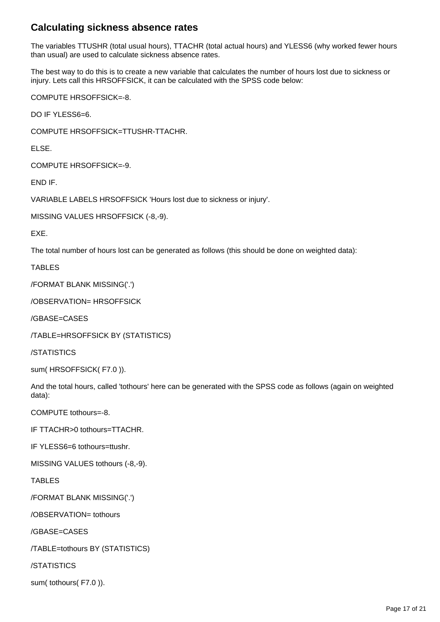### **Calculating sickness absence rates**

The variables TTUSHR (total usual hours), TTACHR (total actual hours) and YLESS6 (why worked fewer hours than usual) are used to calculate sickness absence rates.

The best way to do this is to create a new variable that calculates the number of hours lost due to sickness or injury. Lets call this HRSOFFSICK, it can be calculated with the SPSS code below:

COMPUTE HRSOFFSICK=-8.

DO IF YLESS6=6.

COMPUTE HRSOFFSICK=TTUSHR-TTACHR.

ELSE.

COMPUTE HRSOFFSICK=-9.

END IF.

VARIABLE LABELS HRSOFFSICK 'Hours lost due to sickness or injury'.

MISSING VALUES HRSOFFSICK (-8,-9).

EXE.

The total number of hours lost can be generated as follows (this should be done on weighted data):

TABLES

/FORMAT BLANK MISSING('.')

/OBSERVATION= HRSOFFSICK

/GBASE=CASES

/TABLE=HRSOFFSICK BY (STATISTICS)

/STATISTICS

sum( HRSOFFSICK( F7.0 )).

And the total hours, called 'tothours' here can be generated with the SPSS code as follows (again on weighted data):

COMPUTE tothours=-8.

IF TTACHR>0 tothours=TTACHR.

IF YLESS6=6 tothours=ttushr.

MISSING VALUES tothours (-8,-9).

TABLES

/FORMAT BLANK MISSING('.')

/OBSERVATION= tothours

/GBASE=CASES

/TABLE=tothours BY (STATISTICS)

/STATISTICS

sum( tothours( F7.0 )).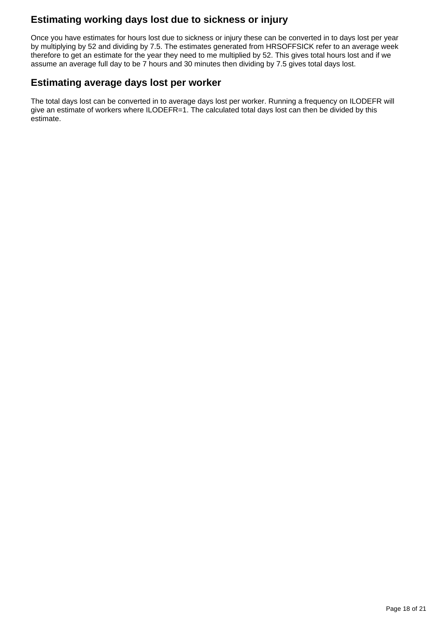## **Estimating working days lost due to sickness or injury**

Once you have estimates for hours lost due to sickness or injury these can be converted in to days lost per year by multiplying by 52 and dividing by 7.5. The estimates generated from HRSOFFSICK refer to an average week therefore to get an estimate for the year they need to me multiplied by 52. This gives total hours lost and if we assume an average full day to be 7 hours and 30 minutes then dividing by 7.5 gives total days lost.

#### **Estimating average days lost per worker**

The total days lost can be converted in to average days lost per worker. Running a frequency on ILODEFR will give an estimate of workers where ILODEFR=1. The calculated total days lost can then be divided by this estimate.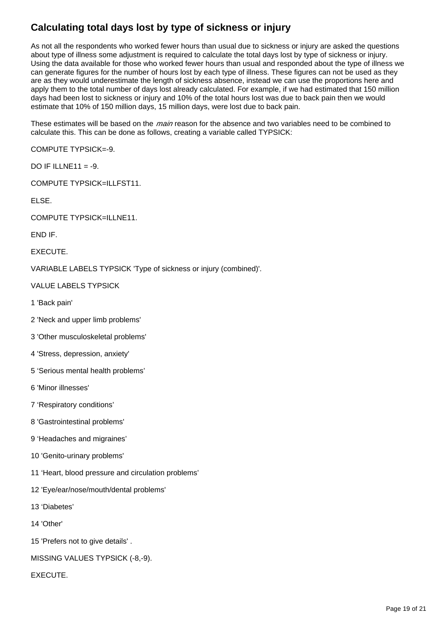## **Calculating total days lost by type of sickness or injury**

As not all the respondents who worked fewer hours than usual due to sickness or injury are asked the questions about type of illness some adjustment is required to calculate the total days lost by type of sickness or injury. Using the data available for those who worked fewer hours than usual and responded about the type of illness we can generate figures for the number of hours lost by each type of illness. These figures can not be used as they are as they would underestimate the length of sickness absence, instead we can use the proportions here and apply them to the total number of days lost already calculated. For example, if we had estimated that 150 million days had been lost to sickness or injury and 10% of the total hours lost was due to back pain then we would estimate that 10% of 150 million days, 15 million days, were lost due to back pain.

These estimates will be based on the *main* reason for the absence and two variables need to be combined to calculate this. This can be done as follows, creating a variable called TYPSICK:

COMPUTE TYPSICK=-9.

DO IF ILLNE11 =  $-9$ .

COMPUTE TYPSICK=ILLFST11.

ELSE.

COMPUTE TYPSICK=ILLNE11.

END IF.

**EXECUTE** 

VARIABLE LABELS TYPSICK 'Type of sickness or injury (combined)'.

VALUE LABELS TYPSICK

- 1 'Back pain'
- 2 'Neck and upper limb problems'
- 3 'Other musculoskeletal problems'
- 4 'Stress, depression, anxiety'
- 5 'Serious mental health problems'
- 6 'Minor illnesses'
- 7 'Respiratory conditions'
- 8 'Gastrointestinal problems'
- 9 'Headaches and migraines'
- 10 'Genito-urinary problems'
- 11 'Heart, blood pressure and circulation problems'
- 12 'Eye/ear/nose/mouth/dental problems'
- 13 'Diabetes'
- 14 'Other'
- 15 'Prefers not to give details' .
- MISSING VALUES TYPSICK (-8,-9).

**EXECUTE**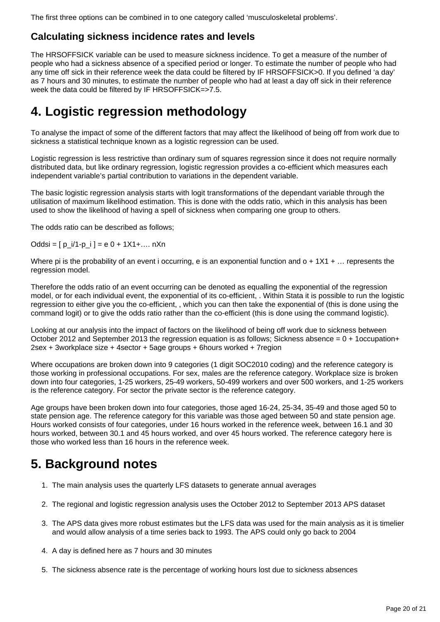The first three options can be combined in to one category called 'musculoskeletal problems'.

#### **Calculating sickness incidence rates and levels**

The HRSOFFSICK variable can be used to measure sickness incidence. To get a measure of the number of people who had a sickness absence of a specified period or longer. To estimate the number of people who had any time off sick in their reference week the data could be filtered by IF HRSOFFSICK>0. If you defined 'a day' as 7 hours and 30 minutes, to estimate the number of people who had at least a day off sick in their reference week the data could be filtered by IF HRSOFFSICK=>7.5.

## **4. Logistic regression methodology**

To analyse the impact of some of the different factors that may affect the likelihood of being off from work due to sickness a statistical technique known as a logistic regression can be used.

Logistic regression is less restrictive than ordinary sum of squares regression since it does not require normally distributed data, but like ordinary regression, logistic regression provides a co-efficient which measures each independent variable's partial contribution to variations in the dependent variable.

The basic logistic regression analysis starts with logit transformations of the dependant variable through the utilisation of maximum likelihood estimation. This is done with the odds ratio, which in this analysis has been used to show the likelihood of having a spell of sickness when comparing one group to others.

The odds ratio can be described as follows;

 $Oddsi = [ p_i/1-p_i ] = e 0 + 1X1 + ... nXn$ 

Where pi is the probability of an event i occurring, e is an exponential function and  $o + 1X1 + \ldots$  represents the regression model.

Therefore the odds ratio of an event occurring can be denoted as equalling the exponential of the regression model, or for each individual event, the exponential of its co-efficient, . Within Stata it is possible to run the logistic regression to either give you the co-efficient, , which you can then take the exponential of (this is done using the command logit) or to give the odds ratio rather than the co-efficient (this is done using the command logistic).

Looking at our analysis into the impact of factors on the likelihood of being off work due to sickness between October 2012 and September 2013 the regression equation is as follows; Sickness absence = 0 + 1occupation+ 2sex + 3workplace size + 4sector + 5age groups + 6hours worked + 7region

Where occupations are broken down into 9 categories (1 digit SOC2010 coding) and the reference category is those working in professional occupations. For sex, males are the reference category. Workplace size is broken down into four categories, 1-25 workers, 25-49 workers, 50-499 workers and over 500 workers, and 1-25 workers is the reference category. For sector the private sector is the reference category.

Age groups have been broken down into four categories, those aged 16-24, 25-34, 35-49 and those aged 50 to state pension age. The reference category for this variable was those aged between 50 and state pension age. Hours worked consists of four categories, under 16 hours worked in the reference week, between 16.1 and 30 hours worked, between 30.1 and 45 hours worked, and over 45 hours worked. The reference category here is those who worked less than 16 hours in the reference week.

## **5. Background notes**

- 1. The main analysis uses the quarterly LFS datasets to generate annual averages
- 2. The regional and logistic regression analysis uses the October 2012 to September 2013 APS dataset
- 3. The APS data gives more robust estimates but the LFS data was used for the main analysis as it is timelier and would allow analysis of a time series back to 1993. The APS could only go back to 2004
- 4. A day is defined here as 7 hours and 30 minutes
- 5. The sickness absence rate is the percentage of working hours lost due to sickness absences